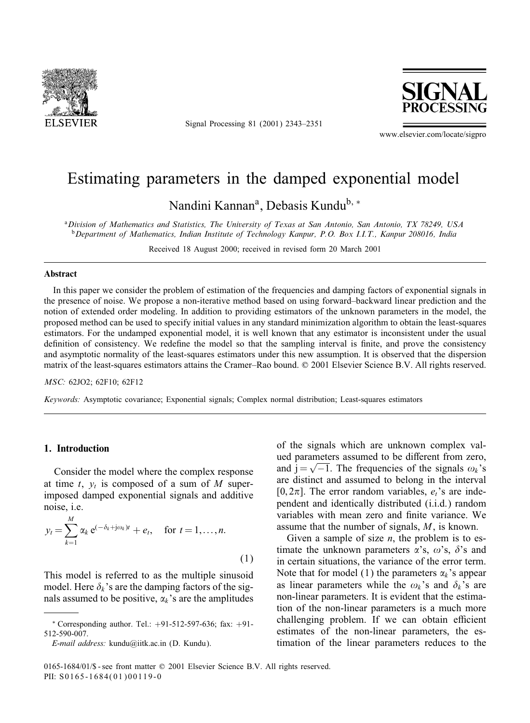

Signal Processing 81 (2001) 2343–2351



www.elsevier.com/locate/sigpro

# Estimating parameters in the damped exponential model

Nandini Kannan<sup>a</sup>, Debasis Kundu<sup>b, ∗</sup>

<sup>a</sup>*Division of Mathematics and Statistics, The University of Texas at San Antonio, San Antonio, TX 78249, USA* <sup>b</sup>*Department of Mathematics, Indian Institute of Technology Kanpur, P.O. Box I.I.T., Kanpur 208016, India*

Received 18 August 2000; received in revised form 20 March 2001

#### **Abstract**

In this paper we consider the problem of estimation of the frequencies and damping factors of exponential signals in the presence of noise. We propose a non-iterative method based on using forward–backward linear prediction and the notion of extended order modeling. In addition to providing estimators of the unknown parameters in the model, the proposed method can be used to specify initial values in any standard minimization algorithm to obtain the least-squares estimators. For the undamped exponential model, it is well known that any estimator is inconsistent under the usual definition of consistency. We redefine the model so that the sampling interval is finite, and prove the consistency and asymptotic normality of the least-squares estimators under this new assumption. It is observed that the dispersion matrix of the least-squares estimators attains the Cramer–Rao bound. © 2001 Elsevier Science B.V. All rights reserved.

*MSC:* 62JO2; 62F10; 62F12

*Keywords:* Asymptotic covariance; Exponential signals; Complex normal distribution; Least-squares estimators

# **1. Introduction**

Consider the model where the complex response at time t,  $y_t$  is composed of a sum of M superimposed damped exponential signals and additive noise, i.e.

$$
y_t = \sum_{k=1}^{M} \alpha_k e^{(-\delta_k + j\omega_k)t} + e_t, \quad \text{for } t = 1, \dots, n.
$$
\n(1)

This model is referred to as the multiple sinusoid model. Here  $\delta_k$ 's are the damping factors of the signals assumed to be positive,  $\alpha_k$ 's are the amplitudes

of the signals which are unknown complex valued parameters assumed to be different from zero, and j =  $\sqrt{-1}$ . The frequencies of the signals  $\omega_k$ 's are distinct and assumed to belong in the interval [0,2 $\pi$ ]. The error random variables,  $e_i$ 's are independent and identically distributed (i.i.d.) random variables with mean zero and finite variance. We assume that the number of signals, M, is known.

Given a sample of size  $n$ , the problem is to estimate the unknown parameters  $\alpha$ 's,  $\omega$ 's,  $\delta$ 's and in certain situations, the variance of the error term. Note that for model (1) the parameters  $\alpha_k$ 's appear as linear parameters while the  $\omega_k$ 's and  $\delta_k$ 's are non-linear parameters. It is evident that the estimation of the non-linear parameters is a much more challenging problem. If we can obtain efficient estimates of the non-linear parameters, the estimation of the linear parameters reduces to the

<sup>∗</sup> Corresponding author. Tel.: +91-512-597-636; fax: +91- 512-590-007.

*E-mail address:* kundu@iitk.ac.in (D. Kundu).

<sup>0165-1684/01/\$ -</sup> see front matter  $\odot$  2001 Elsevier Science B.V. All rights reserved. PII: S0165-1684(01)00119-0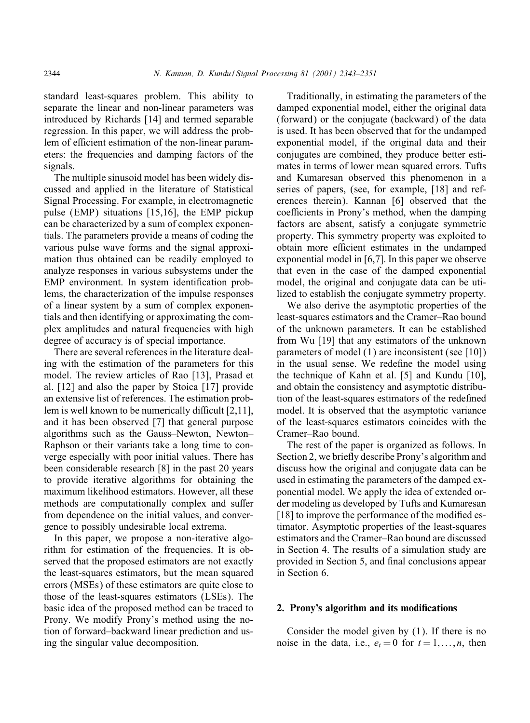standard least-squares problem. This ability to separate the linear and non-linear parameters was introduced by Richards [14] and termed separable regression. In this paper, we will address the problem of efficient estimation of the non-linear parameters: the frequencies and damping factors of the signals.

The multiple sinusoid model has been widely discussed and applied in the literature of Statistical Signal Processing. For example, in electromagnetic pulse (EMP) situations [15,16], the EMP pickup can be characterized by a sum of complex exponentials. The parameters provide a means of coding the various pulse wave forms and the signal approximation thus obtained can be readily employed to analyze responses in various subsystems under the EMP environment. In system identification problems, the characterization of the impulse responses of a linear system by a sum of complex exponentials and then identifying or approximating the complex amplitudes and natural frequencies with high degree of accuracy is of special importance.

There are several references in the literature dealing with the estimation of the parameters for this model. The review articles of Rao [13], Prasad et al.  $[12]$  and also the paper by Stoica  $[17]$  provide an extensive list of references. The estimation problem is well known to be numerically difficult  $[2,11]$ , and it has been observed [7] that general purpose algorithms such as the Gauss–Newton, Newton– Raphson or their variants take a long time to converge especially with poor initial values. There has been considerable research [8] in the past 20 years to provide iterative algorithms for obtaining the maximum likelihood estimators. However, all these methods are computationally complex and suffer from dependence on the initial values, and convergence to possibly undesirable local extrema.

In this paper, we propose a non-iterative algorithm for estimation of the frequencies. It is observed that the proposed estimators are not exactly the least-squares estimators, but the mean squared errors (MSEs) of these estimators are quite close to those of the least-squares estimators (LSEs). The basic idea of the proposed method can be traced to Prony. We modify Prony's method using the notion of forward–backward linear prediction and using the singular value decomposition.

Traditionally, in estimating the parameters of the damped exponential model, either the original data (forward) or the conjugate (backward) of the data is used. It has been observed that for the undamped exponential model, if the original data and their conjugates are combined, they produce better estimates in terms of lower mean squared errors. Tufts and Kumaresan observed this phenomenon in a series of papers, (see, for example, [18] and references therein). Kannan [6] observed that the coefficients in Prony's method, when the damping factors are absent, satisfy a conjugate symmetric property. This symmetry property was exploited to obtain more efficient estimates in the undamped exponential model in [6,7]. In this paper we observe that even in the case of the damped exponential model, the original and conjugate data can be utilized to establish the conjugate symmetry property.

We also derive the asymptotic properties of the least-squares estimators and the Cramer–Rao bound of the unknown parameters. It can be established from Wu [19] that any estimators of the unknown parameters of model (1) are inconsistent (see [10]) in the usual sense. We redefine the model using the technique of Kahn et al. [5] and Kundu  $[10]$ , and obtain the consistency and asymptotic distribution of the least-squares estimators of the redefined model. It is observed that the asymptotic variance of the least-squares estimators coincides with the Cramer–Rao bound.

The rest of the paper is organized as follows. In Section 2, we briefly describe Prony's algorithm and discuss how the original and conjugate data can be used in estimating the parameters of the damped exponential model. We apply the idea of extended order modeling as developed by Tufts and Kumaresan [18] to improve the performance of the modified estimator. Asymptotic properties of the least-squares estimators and the Cramer–Rao bound are discussed in Section 4. The results of a simulation study are provided in Section 5, and final conclusions appear in Section 6.

### **2. Prony's algorithm and its modications**

Consider the model given by (1). If there is no noise in the data, i.e.,  $e_t = 0$  for  $t = 1, \ldots, n$ , then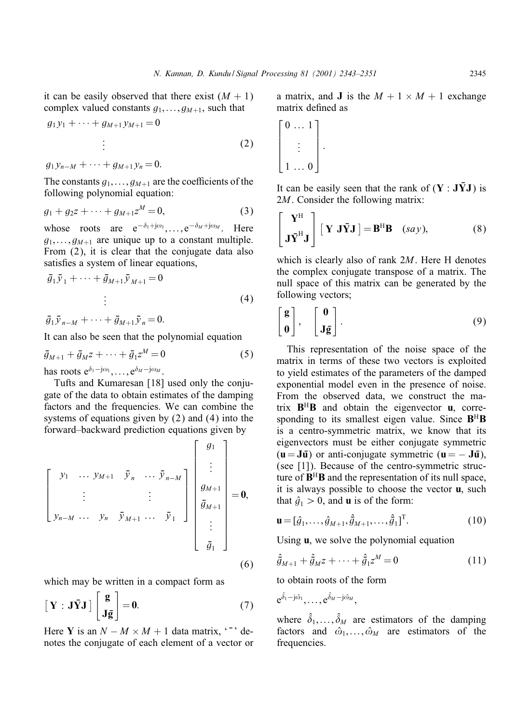it can be easily observed that there exist  $(M + 1)$ complex valued constants  $g_1$ , ...,  $g_{M+1}$ , such that

$$
g_1 y_1 + \dots + g_{M+1} y_{M+1} = 0
$$
  
  $\vdots$  (2)

 $g_1y_{n-M} + \cdots + g_{M+1}y_n = 0.$ 

The constants  $g_1, \ldots, g_{M+1}$  are the coefficients of the following polynomial equation:

$$
g_1 + g_2 z + \dots + g_{M+1} z^M = 0, \tag{3}
$$

whose roots are  $e^{-\delta_1+j\omega_1}, \ldots, e^{-\delta_M+j\omega_M}$ . Here  $g_1,\ldots,g_{M+1}$  are unique up to a constant multiple. From (2), it is clear that the conjugate data also satisfies a system of linear equations,

$$
\bar{g}_1 \bar{y}_1 + \dots + \bar{g}_{M+1} \bar{y}_{M+1} = 0
$$
\n
$$
\vdots \tag{4}
$$

 $\bar{g}_1 \bar{y}_{n-M} + \cdots + \bar{g}_{M+1} \bar{y}_n = 0.$ 

It can also be seen that the polynomial equation

$$
\bar{g}_{M+1} + \bar{g}_M z + \dots + \bar{g}_1 z^M = 0 \tag{5}
$$

has roots  $e^{\delta_1-j\omega_1}, \ldots, e^{\delta_M-j\omega_M}$ .

Tufts and Kumaresan [18] used only the conjugate of the data to obtain estimates of the damping factors and the frequencies. We can combine the systems of equations given by  $(2)$  and  $(4)$  into the forward–backward prediction equations given by

$$
\begin{bmatrix} y_1 & \cdots & y_{M+1} & \bar{y}_n & \cdots & \bar{y}_{n-M} \\ \vdots & & & \vdots & \\ y_{n-M} & \cdots & y_n & \bar{y}_{M+1} & \cdots & \bar{y}_1 \end{bmatrix} \begin{bmatrix} g_1 \\ \vdots \\ g_{M+1} \\ \bar{g}_{M+1} \\ \vdots \\ \bar{g}_1 \end{bmatrix} = \mathbf{0},
$$
\n(6)

which may be written in a compact form as

$$
\begin{bmatrix} \mathbf{Y} \, : \, \mathbf{J} \bar{\mathbf{Y}} \mathbf{J} \end{bmatrix} \begin{bmatrix} \mathbf{g} \\ \mathbf{J} \bar{\mathbf{g}} \end{bmatrix} = \mathbf{0}.\tag{7}
$$

Here **Y** is an  $N - M \times M + 1$  data matrix,  $\cdot \cdot$  denotes the conjugate of each element of a vector or a matrix, and **J** is the  $M + 1 \times M + 1$  exchange matrix defined as

$$
\begin{bmatrix} 0 & \cdots & 1 \\ & \vdots & \\ 1 & \cdots & 0 \end{bmatrix}.
$$

It can be easily seen that the rank of  $(Y : J\bar{Y}J)$  is 2*M*. Consider the following matrix:

$$
\begin{bmatrix} \mathbf{Y}^{\mathrm{H}} \\ \mathbf{J}\bar{\mathbf{Y}}^{\mathrm{H}}\mathbf{J} \end{bmatrix} [\mathbf{Y} \mathbf{J}\bar{\mathbf{Y}}\mathbf{J}] = \mathbf{B}^{\mathrm{H}}\mathbf{B} \quad (say), \tag{8}
$$

which is clearly also of rank 2*M*. Here H denotes the complex conjugate transpose of a matrix. The null space of this matrix can be generated by the following vectors;

$$
\begin{bmatrix} g \\ 0 \end{bmatrix}, \quad \begin{bmatrix} 0 \\ J\bar{g} \end{bmatrix}.
$$
 (9)

This representation of the noise space of the matrix in terms of these two vectors is exploited to yieldestimates of the parameters of the damped exponential model even in the presence of noise. From the observed data, we construct the matrix  $B^H B$  and obtain the eigenvector  $\bf{u}$ , corresponding to its smallest eigen value. Since **B**<sup>H</sup>**B** is a centro-symmetric matrix, we know that its eigenvectors must be either conjugate symmetric  $(\mathbf{u} = \mathbf{J}\mathbf{\bar{u}})$  or anti-conjugate symmetric  $(\mathbf{u} = -\mathbf{J}\mathbf{\bar{u}})$ , (see [1]). Because of the centro-symmetric structure of  $B^H B$  and the representation of its null space, it is always possible to choose the vector **u**, such that  $\hat{g}_1 > 0$ , and **u** is of the form:

$$
\mathbf{u} = [\hat{g}_1, \dots, \hat{g}_{M+1}, \hat{\bar{g}}_{M+1}, \dots, \hat{\bar{g}}_1]^{\mathrm{T}}.
$$
 (10)

Using **u**, we solve the polynomial equation

$$
\hat{\bar{g}}_{M+1} + \hat{\bar{g}}_M z + \dots + \hat{\bar{g}}_1 z^M = 0 \tag{11}
$$

to obtain roots of the form

$$
e^{\hat{\delta}_1-j\hat{\omega}_1},\ldots,e^{\hat{\delta}_M-j\hat{\omega}_M},
$$

where  $\hat{\delta}_1, \ldots, \hat{\delta}_M$  are estimators of the damping factors and  $\hat{\omega}_1, \dots, \hat{\omega}_M$  are estimators of the frequencies.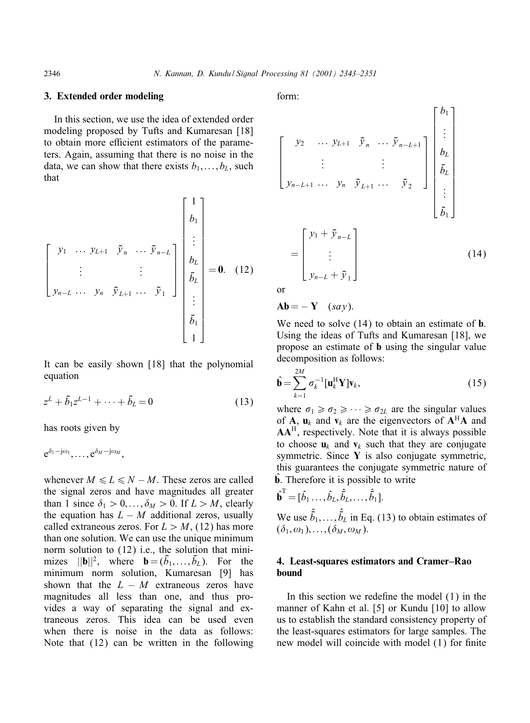### **3. Extended order modeling**

In this section, we use the idea of extended order modeling proposed by Tufts and Kumaresan [18] to obtain more efficient estimators of the parameters. Again, assuming that there is no noise in the data, we can show that there exists  $b_1, \ldots, b_L$ , such that

$$
\begin{bmatrix}\ny_1 & \cdots & y_{L+1} & \bar{y}_n & \cdots & \bar{y}_{n-L} \\
\vdots & & & \vdots & \\
y_{n-L} & \cdots & y_n & \bar{y}_{L+1} & \cdots & \bar{y}_1\n\end{bmatrix}\n\begin{bmatrix}\n1 \\
b_1 \\
\vdots \\
b_L \\
\bar{b}_L \\
\vdots \\
\bar{b}_L \\
\vdots \\
\bar{b}_1 \\
1\n\end{bmatrix} = 0.
$$
\n(12)

It can be easily shown [18] that the polynomial equation

$$
z^{L} + \bar{b}_{1}z^{L-1} + \dots + \bar{b}_{L} = 0 \tag{13}
$$

has roots given by

$$
e^{\delta_1-j\omega_1},\ldots,e^{\delta_M-j\omega_M},
$$

whenever  $M \le L \le N - M$ . These zeros are called the signal zeros and have magnitudes all greater than 1 since  $\delta_1 > 0, \ldots, \delta_M > 0$ . If  $L > M$ , clearly the equation has  $L - M$  additional zeros, usually called extraneous zeros. For  $L > M$ , (12) has more than one solution. We can use the unique minimum norm solution to (12) i.e., the solution that minimizes  $||\mathbf{b}||^2$ , where  $\mathbf{b} = (\bar{b}_1, \dots, \bar{b}_L)$ . For the minimum norm solution, Kumaresan [9] has shown that the  $L - M$  extraneous zeros have magnitudes all less than one, and thus provides a way of separating the signal and extraneous zeros. This idea can be used even when there is noise in the data as follows: Note that (12) can be written in the following form:

$$
\begin{bmatrix}\ny_2 & \cdots & y_{L+1} & \bar{y}_n & \cdots & \bar{y}_{n-L+1} \\
\vdots & & \vdots & & \vdots \\
y_{n-L+1} & \cdots & y_n & \bar{y}_{L+1} & \cdots & \bar{y}_2\n\end{bmatrix}\n\begin{bmatrix}\nb_1 \\
\vdots \\
b_L \\
\bar{b}_L \\
\vdots \\
\bar{b}_L \\
\vdots \\
\bar{b}_1\n\end{bmatrix}
$$
\n
$$
=\n\begin{bmatrix}\ny_1 + \bar{y}_{n-L} \\
\vdots \\
y_{n-L} + \bar{y}_1\n\end{bmatrix}
$$
\n(14)

or

$$
Ab = -Y
$$
 (say).

We need to solve  $(14)$  to obtain an estimate of **b**. Using the ideas of Tufts and Kumaresan [18], we propose an estimate of **b** using the singular value decomposition as follows:

$$
\hat{\mathbf{b}} = \sum_{k=1}^{2M} \sigma_k^{-1} [\mathbf{u}_k^H \mathbf{Y}] \mathbf{v}_k, \qquad (15)
$$

where  $\sigma_1 \geq \sigma_2 \geq \cdots \geq \sigma_{2L}$  are the singular values of **A**,  $\mathbf{u}_k$  and  $\mathbf{v}_k$  are the eigenvectors of  $\mathbf{A}^H\mathbf{A}$  and AA<sup>H</sup>, respectively. Note that it is always possible to choose  $\mathbf{u}_k$  and  $\mathbf{v}_k$  such that they are conjugate symmetric. Since **Y** is also conjugate symmetric, this guarantees the conjugate symmetric nature of  $\hat{\mathbf{b}}$ . Therefore it is possible to write

$$
\hat{\mathbf{b}}^{\mathrm{T}} = [\hat{b}_1 \dots, \hat{b}_L, \hat{b}_L, \dots, \hat{b}_1].
$$

We use  $\hat{b}_1, \ldots, \hat{b}_L$  in Eq. (13) to obtain estimates of  $(\delta_1, \omega_1), \ldots, (\delta_M, \omega_M).$ 

# **4. Least-squares estimators and Cramer–Rao bound**

In this section we redefine the model  $(1)$  in the manner of Kahn et al. [5] or Kundu [10] to allow us to establish the standard consistency property of the least-squares estimators for large samples. The new model will coincide with model  $(1)$  for finite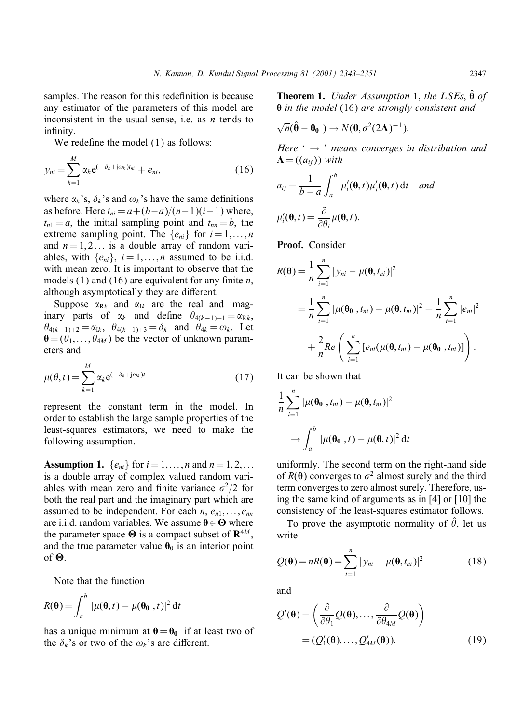samples. The reason for this redefinition is because any estimator of the parameters of this model are inconsistent in the usual sense, i.e. as  $n$  tends to infinity.

We redefine the model  $(1)$  as follows:

$$
y_{ni} = \sum_{k=1}^{M} \alpha_k e^{(-\delta_k + j\omega_k)t_{ni}} + e_{ni},
$$
\n(16)

where  $\alpha_k$ 's,  $\delta_k$ 's and  $\omega_k$ 's have the same definitions as before. Here  $t_{ni} = a + (b-a)/(n-1)(i-1)$  where,  $t_{n1} = a$ , the initial sampling point and  $t_{nn} = b$ , the extreme sampling point. The  $\{e_{ni}\}\$ for  $i = 1, \ldots, n$ and  $n = 1, 2...$  is a double array of random variables, with  $\{e_{ni}\}\$ ,  $i = 1, \ldots, n$  assumed to be i.i.d. with mean zero. It is important to observe that the models (1) and (16) are equivalent for any finite  $n$ , although asymptotically they are different.

Suppose  $\alpha_{Rk}$  and  $\alpha_{Ik}$  are the real and imaginary parts of  $\alpha_k$  and define  $\theta_{4(k-1)+1} = \alpha_{Rk}$ ,  $\theta_{4(k-1)+2} = \alpha_{1k}, \quad \theta_{4(k-1)+3} = \delta_k$  and  $\theta_{4k} = \omega_k$ . Let  $\mathbf{\theta} = (\theta_1, \ldots, \theta_{4M})$  be the vector of unknown parameters and

$$
\mu(\theta, t) = \sum_{k=1}^{M} \alpha_k e^{(-\delta_k + j\omega_k)t}
$$
\n(17)

represent the constant term in the model. In order to establish the large sample properties of the least-squares estimators, we need to make the following assumption.

**Assumption 1.**  $\{e_{ni}\}\$  for  $i = 1, \ldots, n$  and  $n = 1, 2, \ldots$ is a double array of complex valued random variables with mean zero and finite variance  $\sigma^2/2$  for both the real part and the imaginary part which are assumed to be independent. For each  $n, e_{n1}, \ldots, e_{nn}$ are i.i.d. random variables. We assume  $\theta \in \Theta$  where the parameter space  $\Theta$  is a compact subset of  $\mathbb{R}^{4M}$ , and the true parameter value  $\theta_0$  is an interior point of  $\Theta$ .

Note that the function

$$
R(\mathbf{\theta}) = \int_a^b |\mu(\mathbf{\theta}, t) - \mu(\mathbf{\theta_0}, t)|^2 dt
$$

has a unique minimum at  $\theta = \theta_0$  if at least two of the  $\delta_k$ 's or two of the  $\omega_k$ 's are different.

**Theorem 1.** *Under Assumption* 1, *the LSEs*,  $\theta$  *of* X *in the model* (16) *are strongly consistent and*

$$
\sqrt{n}(\hat{\boldsymbol{\theta}} - \boldsymbol{\theta}_0) \rightarrow N(\boldsymbol{0}, \sigma^2(2\mathbf{A})^{-1}).
$$

*Here* ' → ' *means converges in distribution and*  $\mathbf{A} = ((a_{ij}))$  *with* 

$$
a_{ij} = \frac{1}{b-a} \int_a^b \mu'_i(\mathbf{\theta}, t) \mu'_j(\mathbf{\theta}, t) dt \quad and
$$
  

$$
\mu'_i(\mathbf{\theta}, t) = \frac{\partial}{\partial \theta_i} \mu(\mathbf{\theta}, t).
$$

**Proof.** Consider

$$
R(\theta) = \frac{1}{n} \sum_{i=1}^{n} |y_{ni} - \mu(\theta, t_{ni})|^2
$$
  
= 
$$
\frac{1}{n} \sum_{i=1}^{n} |\mu(\theta_0, t_{ni}) - \mu(\theta, t_{ni})|^2 + \frac{1}{n} \sum_{i=1}^{n} |e_{ni}|^2
$$
  
+ 
$$
\frac{2}{n} Re\left(\sum_{i=1}^{n} [e_{ni}(\mu(\theta, t_{ni}) - \mu(\theta_0, t_{ni})]]\right).
$$

It can be shown that

$$
\frac{1}{n}\sum_{i=1}^n|\mu(\theta_0, t_{ni}) - \mu(\theta, t_{ni})|^2
$$

$$
\rightarrow \int_a^b |\mu(\theta_0, t) - \mu(\theta, t)|^2 dt
$$

uniformly. The second term on the right-hand side of  $R(\theta)$  converges to  $\sigma^2$  almost surely and the third term converges to zero almost surely. Therefore, using the same kind of arguments as in  $[4]$  or  $[10]$  the consistency of the least-squares estimator follows.

To prove the asymptotic normality of  $\hat{\theta}$ , let us write

$$
Q(\boldsymbol{\theta}) = nR(\boldsymbol{\theta}) = \sum_{i=1}^{n} |y_{ni} - \mu(\boldsymbol{\theta}, t_{ni})|^2
$$
 (18)

and

$$
Q'(\theta) = \left(\frac{\partial}{\partial \theta_1} Q(\theta), \dots, \frac{\partial}{\partial \theta_{4M}} Q(\theta)\right)
$$

$$
= (Q'_1(\theta), \dots, Q'_{4M}(\theta)).
$$
(19)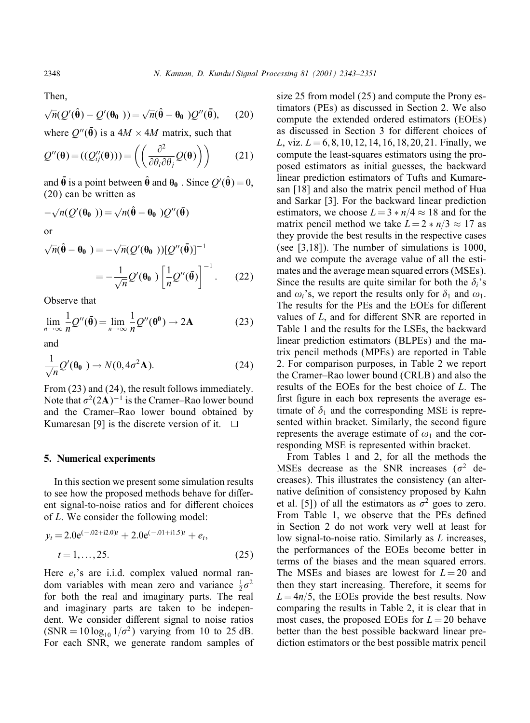Then,

$$
\sqrt{n}(\mathcal{Q}'(\hat{\boldsymbol{\theta}}) - \mathcal{Q}'(\boldsymbol{\theta_0})) = \sqrt{n}(\hat{\boldsymbol{\theta}} - \boldsymbol{\theta_0})\mathcal{Q}''(\bar{\boldsymbol{\theta}}), \qquad (20)
$$

where  $Q''(\bar{\mathbf{\Theta}})$  is a  $4M \times 4M$  matrix, such that

$$
Q''(\mathbf{\theta}) = ((Q''_{ij}(\mathbf{\theta}))) = \left( \left( \frac{\partial^2}{\partial \theta_i \partial \theta_j} Q(\mathbf{\theta}) \right) \right)
$$
(21)

and  $\bar{\theta}$  is a point between  $\hat{\theta}$  and  $\theta_0$  . Since  $Q'(\hat{\theta}) = 0$ , (20) can be written as

$$
-\sqrt{n}(\mathcal{Q}'(\theta_0)) = \sqrt{n}(\hat{\theta} - \theta_0) \mathcal{Q}''(\bar{\theta})
$$
  
or

$$
\sqrt{n}(\hat{\boldsymbol{\theta}} - \boldsymbol{\theta_0}) = -\sqrt{n}(\mathcal{Q}'(\boldsymbol{\theta_0}))[\mathcal{Q}''(\bar{\boldsymbol{\theta}})]^{-1}
$$

$$
= -\frac{1}{\sqrt{n}}\mathcal{Q}'(\boldsymbol{\theta_0})\left[\frac{1}{n}\mathcal{Q}''(\bar{\boldsymbol{\theta}})\right]^{-1}.
$$
 (22)

Observe that

$$
\lim_{n \to \infty} \frac{1}{n} Q''(\bar{\theta}) = \lim_{n \to \infty} \frac{1}{n} Q''(\theta^0) \to 2A
$$
 (23)

and

$$
\frac{1}{\sqrt{n}}Q'(\mathbf{\theta_0}) \to N(\mathbf{0}, 4\sigma^2 \mathbf{A}).
$$
 (24)

From (23) and (24), the result follows immediately. Note that  $\sigma^2(2\mathbf{A})^{-1}$  is the Cramer–Rao lower bound and the Cramer–Rao lower bound obtained by Kumaresan [9] is the discrete version of it.

#### **5. Numerical experiments**

In this section we present some simulation results to see how the proposed methods behave for different signal-to-noise ratios and for different choices of L. We consider the following model:

$$
y_t = 2.0e^{(-.02 + i2.0)t} + 2.0e^{(-.01 + i1.5)t} + e_t,
$$
  

$$
t = 1,...,25.
$$
 (25)

Here  $e_t$ 's are i.i.d. complex valued normal random variables with mean zero and variance  $\frac{1}{2}\sigma^2$ for both the real and imaginary parts. The real and imaginary parts are taken to be independent. We consider different signal to noise ratios  $(SNR = 10 \log_{10} 1/\sigma^2)$  varying from 10 to 25 dB. For each SNR, we generate random samples of

size 25 from model (25) and compute the Prony estimators (PEs) as discussed in Section 2. We also compute the extended ordered estimators (EOEs) as discussed in Section 3 for different choices of L, viz.  $L = 6, 8, 10, 12, 14, 16, 18, 20, 21$ . Finally, we compute the least-squares estimators using the proposed estimators as initial guesses, the backward linear prediction estimators of Tufts and Kumaresan [18] and also the matrix pencil method of Hua and Sarkar [3]. For the backward linear prediction estimators, we choose  $L = 3 * n/4 \approx 18$  and for the matrix pencil method we take  $L = 2 * n/3 \approx 17$  as they provide the best results in the respective cases (see [3,18]). The number of simulations is 1000, and we compute the average value of all the estimates and the average mean squared errors (MSEs). Since the results are quite similar for both the  $\delta_i$ 's and  $\omega_i$ 's, we report the results only for  $\delta_1$  and  $\omega_1$ . The results for the PEs and the EOEs for different values of  $L$ , and for different SNR are reported in Table 1 and the results for the LSEs, the backward linear prediction estimators (BLPEs) and the matrix pencil methods (MPEs) are reported in Table 2. For comparison purposes, in Table 2 we report the Cramer–Rao lower bound(CRLB) andalso the results of the EOEs for the best choice of L. The first figure in each box represents the average estimate of  $\delta_1$  and the corresponding MSE is represented within bracket. Similarly, the second figure represents the average estimate of  $\omega_1$  and the corresponding MSE is represented within bracket.

From Tables 1 and 2, for all the methods the MSEs decrease as the SNR increases ( $\sigma^2$  decreases). This illustrates the consistency (an alternative definition of consistency proposed by Kahn et al. [5]) of all the estimators as  $\sigma^2$  goes to zero. From Table 1, we observe that the PEs defined in Section 2 do not work very well at least for low signal-to-noise ratio. Similarly as L increases, the performances of the EOEs become better in terms of the biases and the mean squared errors. The MSEs and biases are lowest for  $L = 20$  and then they start increasing. Therefore, it seems for  $L = \frac{4n}{5}$ , the EOEs provide the best results. Now comparing the results in Table 2, it is clear that in most cases, the proposed EOEs for  $L = 20$  behave better than the best possible backward linear prediction estimators or the best possible matrix pencil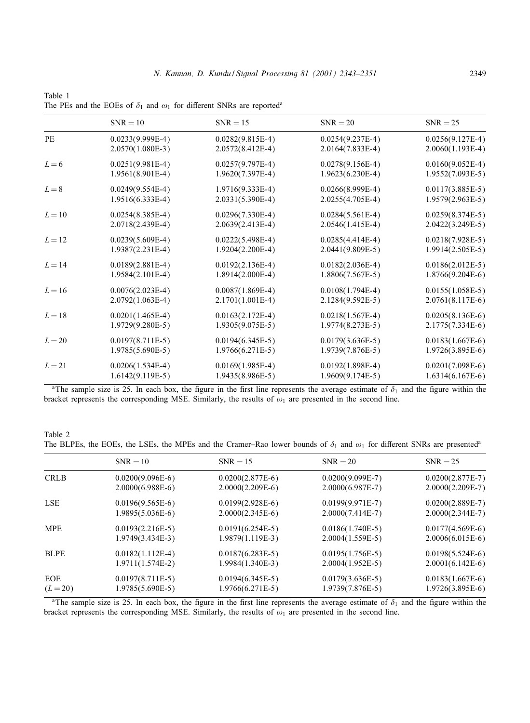|          | $SNR = 10$         | $SNR = 15$         | $SNR = 20$         | $SNR = 25$         |
|----------|--------------------|--------------------|--------------------|--------------------|
| PE       | $0.0233(9.999E-4)$ | $0.0282(9.815E-4)$ | $0.0254(9.237E-4)$ | $0.0256(9.127E-4)$ |
|          | $2.0570(1.080E-3)$ | $2.0572(8.412E-4)$ | 2.0164(7.833E-4)   | $2.0060(1.193E-4)$ |
| $L=6$    | $0.0251(9.981E-4)$ | $0.0257(9.797E-4)$ | $0.0278(9.156E-4)$ | $0.0160(9.052E-4)$ |
|          | $1.9561(8.901E-4)$ | $1.9620(7.397E-4)$ | $1.9623(6.230E-4)$ | $1.9552(7.093E-5)$ |
| $L = 8$  | $0.0249(9.554E-4)$ | $1.9716(9.333E-4)$ | $0.0266(8.999E-4)$ | $0.0117(3.885E-5)$ |
|          | $1.9516(6.333E-4)$ | $2.0331(5.390E-4)$ | 2.0255(4.705E-4)   | $1.9579(2.963E-5)$ |
| $L=10$   | $0.0254(8.385E-4)$ | $0.0296(7.330E-4)$ | $0.0284(5.561E-4)$ | $0.0259(8.374E-5)$ |
|          | 2.0718(2.439E-4)   | $2.0639(2.413E-4)$ | $2.0546(1.415E-4)$ | 2.0422(3.249E-5)   |
| $L=12$   | $0.0239(5.609E-4)$ | $0.0222(5.498E-4)$ | $0.0285(4.414E-4)$ | $0.0218(7.928E-5)$ |
|          | $1.9387(2.231E-4)$ | 1.9204(2.200E-4)   | $2.0441(9.809E-5)$ | 1.9914(2.505E-5)   |
| $L = 14$ | $0.0189(2.881E-4)$ | $0.0192(2.136E-4)$ | $0.0182(2.036E-4)$ | $0.0186(2.012E-5)$ |
|          | $1.9584(2.101E-4)$ | $1.8914(2.000E-4)$ | $1.8806(7.567E-5)$ | 1.8766(9.204E-6)   |
| $L = 16$ | $0.0076(2.023E-4)$ | $0.0087(1.869E-4)$ | $0.0108(1.794E-4)$ | $0.0155(1.058E-5)$ |
|          | $2.0792(1.063E-4)$ | $2.1701(1.001E-4)$ | 2.1284(9.592E-5)   | $2.0761(8.117E-6)$ |
| $L=18$   | $0.0201(1.465E-4)$ | $0.0163(2.172E-4)$ | $0.0218(1.567E-4)$ | $0.0205(8.136E-6)$ |
|          | 1.9729(9.280E-5)   | $1.9305(9.075E-5)$ | $1.9774(8.273E-5)$ | 2.1775(7.334E-6)   |
| $L=20$   | $0.0197(8.711E-5)$ | $0.0194(6.345E-5)$ | $0.0179(3.636E-5)$ | $0.0183(1.667E-6)$ |
|          | $1.9785(5.690E-5)$ | $1.9766(6.271E-5)$ | 1.9739(7.876E-5)   | 1.9726(3.895E-6)   |
| $L = 21$ | $0.0206(1.534E-4)$ | $0.0169(1.985E-4)$ | $0.0192(1.898E-4)$ | $0.0201(7.098E-6)$ |
|          | $1.6142(9.119E-5)$ | $1.9435(8.986E-5)$ | $1.9609(9.174E-5)$ | $1.6314(6.167E-6)$ |

Table 1 The PEs and the EOEs of  $\delta_1$  and  $\omega_1$  for different SNRs are reported<sup>a</sup>

<sup>a</sup>The sample size is 25. In each box, the figure in the first line represents the average estimate of  $\delta_1$  and the figure within the bracket represents the corresponding MSE. Similarly, the results of  $\omega_1$  are presented in the second line.

Table 2 The BLPEs, the EOEs, the LSEs, the MPEs and the Cramer–Rao lower bounds of  $\delta_1$  and  $\omega_1$  for different SNRs are presented<sup>a</sup>

|             | $SNR = 10$         | $SNR = 15$         | $SNR = 20$         | $SNR = 25$         |
|-------------|--------------------|--------------------|--------------------|--------------------|
| <b>CRLB</b> | $0.0200(9.096E-6)$ | $0.0200(2.877E-6)$ | $0.0200(9.099E-7)$ | $0.0200(2.877E-7)$ |
|             | $2.0000(6.988E-6)$ | $2.0000(2.209E-6)$ | $2.0000(6.987E-7)$ | $2.0000(2.209E-7)$ |
| <b>LSE</b>  | $0.0196(9.565E-6)$ | $0.0199(2.928E-6)$ | $0.0199(9.971E-7)$ | $0.0200(2.889E-7)$ |
|             | $1.9895(5.036E-6)$ | $2.0000(2.345E-6)$ | $2.0000(7.414E-7)$ | $2.0000(2.344E-7)$ |
| <b>MPE</b>  | $0.0193(2.216E-5)$ | $0.0191(6.254E-5)$ | $0.0186(1.740E-5)$ | $0.0177(4.569E-6)$ |
|             | $1.9749(3.434E-3)$ | $1.9879(1.119E-3)$ | $2.0004(1.559E-5)$ | $2.0006(6.015E-6)$ |
| <b>BLPE</b> | $0.0182(1.112E-4)$ | $0.0187(6.283E-5)$ | $0.0195(1.756E-5)$ | $0.0198(5.524E-6)$ |
|             | $1.9711(1.574E-2)$ | $1.9984(1.340E-3)$ | $2.0004(1.952E-5)$ | $2.0001(6.142E-6)$ |
| EOE         | $0.0197(8.711E-5)$ | $0.0194(6.345E-5)$ | $0.0179(3.636E-5)$ | $0.0183(1.667E-6)$ |
| $(L = 20)$  | $1.9785(5.690E-5)$ | 1.9766(6.271E-5)   | 1.9739(7.876E-5)   | 1.9726(3.895E-6)   |
|             |                    |                    |                    |                    |

<sup>a</sup>The sample size is 25. In each box, the figure in the first line represents the average estimate of  $\delta_1$  and the figure within the bracket represents the corresponding MSE. Similarly, the results of  $\omega_1$  are presented in the second line.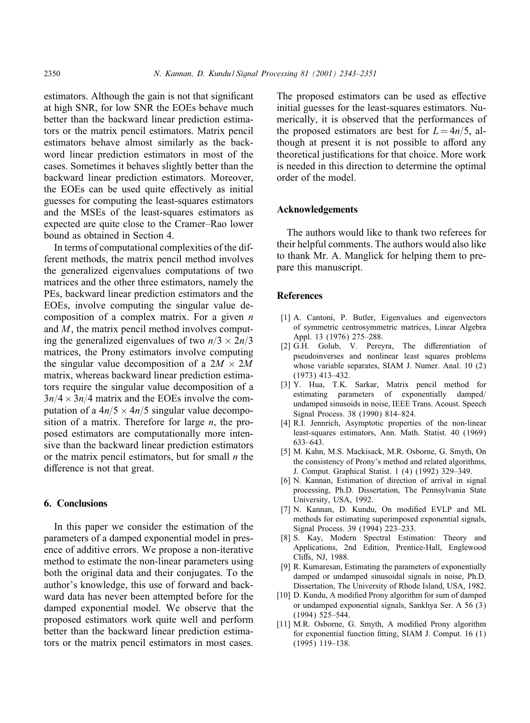estimators. Although the gain is not that significant at high SNR, for low SNR the EOEs behave much better than the backward linear prediction estimators or the matrix pencil estimators. Matrix pencil estimators behave almost similarly as the backword linear prediction estimators in most of the cases. Sometimes it behaves slightly better than the backward linear prediction estimators. Moreover, the EOEs can be used quite effectively as initial guesses for computing the least-squares estimators and the MSEs of the least-squares estimators as expected are quite close to the Cramer–Rao lower bound as obtained in Section 4.

In terms of computational complexities of the different methods, the matrix pencil method involves the generalized eigenvalues computations of two matrices and the other three estimators, namely the PEs, backward linear prediction estimators and the EOEs, involve computing the singular value decomposition of a complex matrix. For a given  $n$ and  $M$ , the matrix pencil method involves computing the generalized eigenvalues of two  $n/3 \times 2n/3$ matrices, the Prony estimators involve computing the singular value decomposition of a  $2M \times 2M$ matrix, whereas backward linear prediction estimators require the singular value decomposition of a  $3n/4 \times 3n/4$  matrix and the EOEs involve the computation of a  $4n/5 \times 4n/5$  singular value decomposition of a matrix. Therefore for large  $n$ , the proposed estimators are computationally more intensive than the backward linear prediction estimators or the matrix pencil estimators, but for small  $n$  the difference is not that great.

# **6. Conclusions**

In this paper we consider the estimation of the parameters of a damped exponential model in presence of additive errors. We propose a non-iterative method to estimate the non-linear parameters using both the original data and their conjugates. To the author's knowledge, this use of forward and backward data has never been attempted before for the damped exponential model. We observe that the proposed estimators work quite well and perform better than the backward linear prediction estimators or the matrix pencil estimators in most cases. The proposed estimators can be used as effective initial guesses for the least-squares estimators. Numerically, it is observed that the performances of the proposed estimators are best for  $L = 4n/5$ , although at present it is not possible to afford any theoretical justifications for that choice. More work is needed in this direction to determine the optimal order of the model.

## **Acknowledgements**

The authors would like to thank two referees for their helpful comments. The authors wouldalso like to thank Mr. A. Manglick for helping them to prepare this manuscript.

## **References**

- [1] A. Cantoni, P. Butler, Eigenvalues and eigenvectors of symmetric centrosymmetric matrices, Linear Algebra Appl. 13 (1976) 275–288.
- [2] G.H. Golub, V. Pereyra, The differentiation of pseudoinverses and nonlinear least squares problems whose variable separates, SIAM J. Numer. Anal. 10 (2) (1973) 413–432.
- [3] Y. Hua, T.K. Sarkar, Matrix pencil method for estimating parameters of exponentially damped/ undamped sinusoids in noise, IEEE Trans. Acoust. Speech Signal Process. 38 (1990) 814–824.
- [4] R.I. Jennrich, Asymptotic properties of the non-linear least-squares estimators, Ann. Math. Statist. 40 (1969) 633–643.
- [5] M. Kahn, M.S. Mackisack, M.R. Osborne, G. Smyth, On the consistency of Prony's method and related algorithms, J. Comput. Graphical Statist. 1 (4) (1992) 329–349.
- [6] N. Kannan, Estimation of direction of arrival in signal processing, Ph.D. Dissertation, The Pennsylvania State University, USA, 1992.
- [7] N. Kannan, D. Kundu, On modified EVLP and ML methods for estimating superimposed exponential signals, Signal Process. 39 (1994) 223–233.
- [8] S. Kay, Modern Spectral Estimation: Theory and Applications, 2nd Edition, Prentice-Hall, Englewood Cliffs, NJ, 1988.
- [9] R. Kumaresan, Estimating the parameters of exponentially damped or undamped sinusoidal signals in noise, Ph.D. Dissertation, The University of Rhode Island, USA, 1982.
- [10] D. Kundu, A modified Prony algorithm for sum of damped or undamped exponential signals, Sankhya Ser. A 56 (3) (1994) 525–544.
- [11] M.R. Osborne, G. Smyth, A modified Prony algorithm for exponential function fitting, SIAM J. Comput.  $16(1)$ (1995) 119–138.